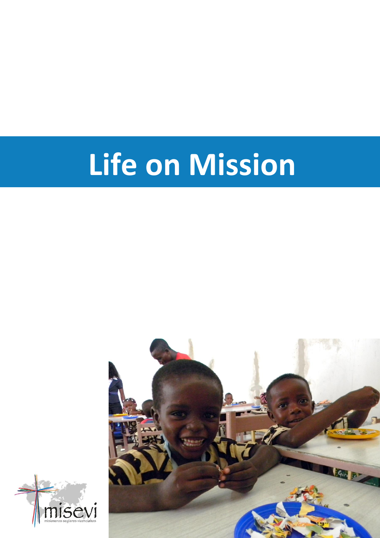# **Life on Mission**



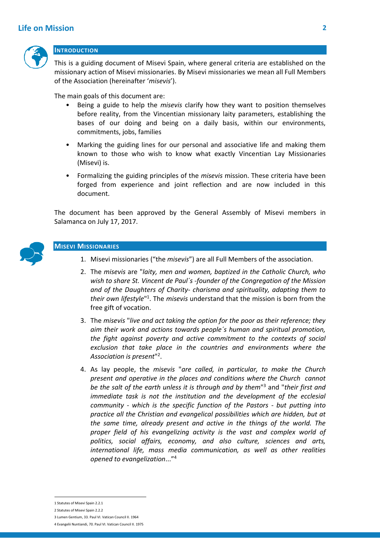# **Life on Mission 2**



#### **INTRODUCTION**

This is a guiding document of Misevi Spain, where general criteria are established on the missionary action of Misevi missionaries. By Misevi missionaries we mean all Full Members of the Association (hereinafter '*misevis*').

The main goals of this document are:

- Being a guide to help the *misevis* clarify how they want to position themselves before reality, from the Vincentian missionary laity parameters, establishing the bases of our doing and being on a daily basis, within our environments, commitments, jobs, families
- Marking the guiding lines for our personal and associative life and making them known to those who wish to know what exactly Vincentian Lay Missionaries (Misevi) is.
- Formalizing the guiding principles of the *misevis* mission. These criteria have been forged from experience and joint reflection and are now included in this document.

The document has been approved by the General Assembly of Misevi members in Salamanca on July 17, 2017.



# **MISEVI MISSIONARIES**

- 1. Misevi missionaries ("the *misevis*") are all Full Members of the association.
- 2. The *misevis* are "*laity, men and women, baptized in the Catholic Church, who wish to share St. Vincent de Paul´s -founder of the Congregation of the Mission and of the Daughters of Charity- charisma and spirituality, adapting them to*  their own lifestyle<sup>"1</sup>. The *misevis* understand that the mission is born from the free gift of vocation.
- 3. The *misevis* "*live and act taking the option for the poor as their reference; they aim their work and actions towards people´s human and spiritual promotion, the fight against poverty and active commitment to the contexts of social exclusion that take place in the countries and environments where the Association is present*" 2 .
- 4. As lay people, the *misevis* "*are called, in particular, to make the Church present and operative in the places and conditions where the Church cannot be the salt of the earth unless it is through and by them*" <sup>3</sup> and "*their first and immediate task is not the institution and the development of the ecclesial community - which is the specific function of the Pastors - but putting into practice all the Christian and evangelical possibilities which are hidden, but at the same time, already present and active in the things of the world. The proper field of his evangelizing activity is the vast and complex world of politics, social affairs, economy, and also culture, sciences and arts, international life, mass media communication, as well as other realities opened to evangelization*..."<sup>4</sup>

-

<sup>1</sup> Statutes of Misevi Spain 2.2.1

<sup>2</sup> Statutes of Misevi Spain 2.2.2

<sup>3</sup> Lumen Gentium, 33. Paul VI. Vatican Council II. 1964 4 Evangelii Nuntiandi, 70. Paul VI. Vatican Council II. 1975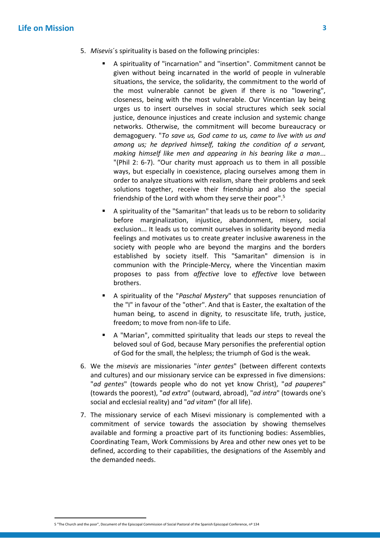# **Life on Mission 3**

- 5. *Misevis*´s spirituality is based on the following principles:
	- A spirituality of "incarnation" and "insertion". Commitment cannot be given without being incarnated in the world of people in vulnerable situations, the service, the solidarity, the commitment to the world of the most vulnerable cannot be given if there is no "lowering", closeness, being with the most vulnerable. Our Vincentian lay being urges us to insert ourselves in social structures which seek social justice, denounce injustices and create inclusion and systemic change networks. Otherwise, the commitment will become bureaucracy or demagoguery. "*To save us, God came to us, came to live with us and among us; he deprived himself, taking the condition of a servant, making himself like men and appearing in his bearing like a man*... "(Phil 2: 6-7). "Our charity must approach us to them in all possible ways, but especially in coexistence, placing ourselves among them in order to analyze situations with realism, share their problems and seek solutions together, receive their friendship and also the special friendship of the Lord with whom they serve their poor". 5
	- A spirituality of the "Samaritan" that leads us to be reborn to solidarity before marginalization, injustice, abandonment, misery, social exclusion... It leads us to commit ourselves in solidarity beyond media feelings and motivates us to create greater inclusive awareness in the society with people who are beyond the margins and the borders established by society itself. This "Samaritan" dimension is in communion with the Principle-Mercy, where the Vincentian maxim proposes to pass from *affective* love to *effective* love between brothers.
	- A spirituality of the "*Paschal Mystery*" that supposes renunciation of the "I" in favour of the "other". And that is Easter, the exaltation of the human being, to ascend in dignity, to resuscitate life, truth, justice, freedom; to move from non-life to Life.
	- A "Marian", committed spirituality that leads our steps to reveal the beloved soul of God, because Mary personifies the preferential option of God for the small, the helpless; the triumph of God is the weak.
- 6. We the *misevis* are missionaries "*inter gentes*" (between different contexts and cultures) and our missionary service can be expressed in five dimensions: "*ad gentes*" (towards people who do not yet know Christ), "*ad pauperes*" (towards the poorest), "*ad extra*" (outward, abroad), "*ad intra*" (towards one's social and ecclesial reality) and "*ad vitam*" (for all life).
- 7. The missionary service of each Misevi missionary is complemented with a commitment of service towards the association by showing themselves available and forming a proactive part of its functioning bodies: Assemblies, Coordinating Team, Work Commissions by Area and other new ones yet to be defined, according to their capabilities, the designations of the Assembly and the demanded needs.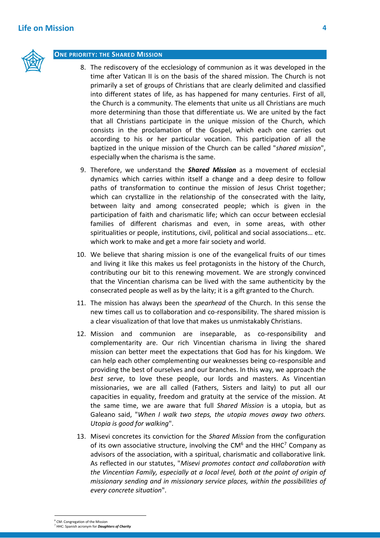

#### **ONE PRIORITY: THE SHARED MISSION**

- 8. The rediscovery of the ecclesiology of communion as it was developed in the time after Vatican II is on the basis of the shared mission. The Church is not primarily a set of groups of Christians that are clearly delimited and classified into different states of life, as has happened for many centuries. First of all, the Church is a community. The elements that unite us all Christians are much more determining than those that differentiate us. We are united by the fact that all Christians participate in the unique mission of the Church, which consists in the proclamation of the Gospel, which each one carries out according to his or her particular vocation. This participation of all the baptized in the unique mission of the Church can be called "*shared mission*", especially when the charisma is the same.
- 9. Therefore, we understand the *Shared Mission* as a movement of ecclesial dynamics which carries within itself a change and a deep desire to follow paths of transformation to continue the mission of Jesus Christ together; which can crystallize in the relationship of the consecrated with the laity, between laity and among consecrated people; which is given in the participation of faith and charismatic life; which can occur between ecclesial families of different charismas and even, in some areas, with other spiritualities or people, institutions, civil, political and social associations… etc. which work to make and get a more fair society and world.
- 10. We believe that sharing mission is one of the evangelical fruits of our times and living it like this makes us feel protagonists in the history of the Church, contributing our bit to this renewing movement. We are strongly convinced that the Vincentian charisma can be lived with the same authenticity by the consecrated people as well as by the laity; it is a gift granted to the Church.
- 11. The mission has always been the *spearhead* of the Church. In this sense the new times call us to collaboration and co-responsibility. The shared mission is a clear visualization of that love that makes us unmistakably Christians.
- 12. Mission and communion are inseparable, as co-responsibility and complementarity are. Our rich Vincentian charisma in living the shared mission can better meet the expectations that God has for his kingdom. We can help each other complementing our weaknesses being co-responsible and providing the best of ourselves and our branches. In this way, we approach *the best serve*, to love these people, our lords and masters. As Vincentian missionaries, we are all called (Fathers, Sisters and laity) to put all our capacities in equality, freedom and gratuity at the service of the mission. At the same time, we are aware that full *Shared Mission* is a utopia, but as Galeano said, "*When I walk two steps, the utopia moves away two others. Utopia is good for walking*".
- 13. Misevi concretes its conviction for the *Shared Mission* from the configuration of its own associative structure, involving the  $CM<sup>6</sup>$  and the HHC<sup>7</sup> Company as advisors of the association, with a spiritual, charismatic and collaborative link. As reflected in our statutes, "*Misevi promotes contact and collaboration with the Vincentian Family, especially at a local level, both at the point of origin of missionary sending and in missionary service places, within the possibilities of every concrete situation*".

-

<sup>&</sup>lt;sup>6</sup> CM: Congregation of the Mission

<sup>7</sup> HHC: Spanish acronym for *Daughters of Charity*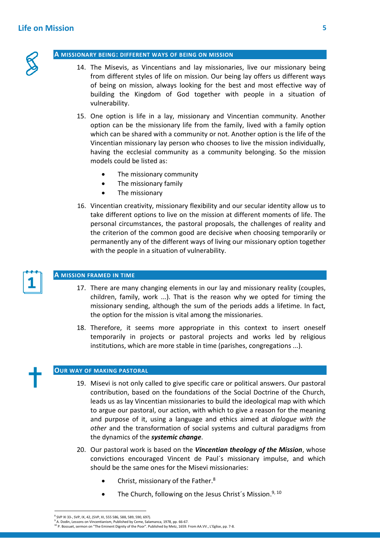

#### **A MISSIONARY BEING: DIFFERENT WAYS OF BEING ON MISSION**

- 14. The Misevis, as Vincentians and lay missionaries, live our missionary being from different styles of life on mission. Our being lay offers us different ways of being on mission, always looking for the best and most effective way of building the Kingdom of God together with people in a situation of vulnerability.
- 15. One option is life in a lay, missionary and Vincentian community. Another option can be the missionary life from the family, lived with a family option which can be shared with a community or not. Another option is the life of the Vincentian missionary lay person who chooses to live the mission individually, having the ecclesial community as a community belonging. So the mission models could be listed as:
	- The missionary community
	- The missionary family
	- The missionary
- 16. Vincentian creativity, missionary flexibility and our secular identity allow us to take different options to live on the mission at different moments of life. The personal circumstances, the pastoral proposals, the challenges of reality and the criterion of the common good are decisive when choosing temporarily or permanently any of the different ways of living our missionary option together with the people in a situation of vulnerability.



#### **A MISSION FRAMED IN TIME**

- 17. There are many changing elements in our lay and missionary reality (couples, children, family, work ...). That is the reason why we opted for timing the missionary sending, although the sum of the periods adds a lifetime. In fact, the option for the mission is vital among the missionaries.
- 18. Therefore, it seems more appropriate in this context to insert oneself temporarily in projects or pastoral projects and works led by religious institutions, which are more stable in time (parishes, congregations ...).

#### **OUR WAY OF MAKING PASTORAL**

- 19. Misevi is not only called to give specific care or political answers. Our pastoral contribution, based on the foundations of the Social Doctrine of the Church, leads us as lay Vincentian missionaries to build the ideological map with which to argue our pastoral, our action, with which to give a reason for the meaning and purpose of it, using a language and ethics aimed at *dialogue with the other* and the transformation of social systems and cultural paradigms from the dynamics of the *systemic change*.
- 20. Our pastoral work is based on the *Vincentian theology of the Mission*, whose convictions encouraged Vincent de Paul´s missionary impulse, and which should be the same ones for the Misevi missionaries:
	- Christ, missionary of the Father.<sup>8</sup>
	- The Church, following on the Jesus Christ's Mission.<sup>9, 10</sup>

<sup>-</sup>8 SVP XI 33-, SVP, IX, 42, (SVP, XI, 555 586, 588, 589, 590, 697).

<sup>&</sup>lt;sup>9</sup> A. Dodin, Lessons on Vincentianism, Published by Ceme, Salamanca, 1978, pp. 66-67. <sup>10</sup> P. Bossuet, sermon on "The Eminent Dignity of the Poor". Published by Metz, 1659. From AA.VV., L'Eglise, pp. 7-8.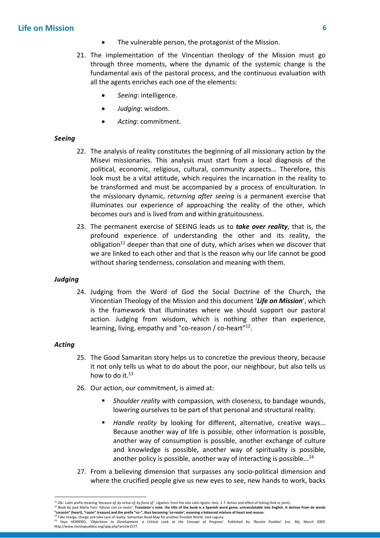- The vulnerable person, the protagonist of the Mission.
- 21. The implementation of the Vincentian theology of the Mission must go through three moments, where the dynamic of the systemic change is the fundamental axis of the pastoral process, and the continuous evaluation with all the agents enriches each one of the elements:
	- *Seeing*: intelligence.
	- *Judging*: wisdom.
	- *Acting*: commitment.

# *Seeing*

- 22. The analysis of reality constitutes the beginning of all missionary action by the Misevi missionaries. This analysis must start from a local diagnosis of the political, economic, religious, cultural, community aspects... Therefore, this look must be a vital attitude, which requires the incarnation in the reality to be transformed and must be accompanied by a process of enculturation. In the missionary dynamic, *returning after seeing* is a permanent exercise that illuminates our experience of approaching the reality of the other, which becomes ours and is lived from and within gratuitousness.
- 23. The permanent exercise of SEEING leads us to *take over reality*, that is, the profound experience of understanding the other and its reality, the obligation<sup>11</sup> deeper than that one of duty, which arises when we discover that we are linked to each other and that is the reason why our life cannot be good without sharing tenderness, consolation and meaning with them.

# *Judging*

24. Judging from the Word of God the Social Doctrine of the Church, the Vincentian Theology of the Mission and this document '*Life on Mission*', which is the framework that illuminates where we should support our pastoral action. Judging from wisdom, which is nothing other than experience, learning, living, empathy and "co-reason / co-heart"<sup>12</sup>.

# *Acting*

-

- 25. The Good Samaritan story helps us to concretize the previous theory, because it not only tells us what to do about the poor, our neighbour, but also tells us how to do it.<sup>13</sup>
- 26. Our action, our commitment, is aimed at:
	- *Shoulder reality* with compassion, with closeness, to bandage wounds, lowering ourselves to be part of that personal and structural reality.
	- *Handle reality* by looking for different, alternative, creative ways... Because another way of life is possible, other information is possible, another way of consumption is possible, another exchange of culture and knowledge is possible, another way of spirituality is possible, another policy is possible, another way of interacting is possible... $^{14}$
- 27. From a believing dimension that surpasses any socio-political dimension and where the crucified people give us new eyes to see, new hands to work, backs

<sup>&</sup>lt;sup>11</sup> Ob-: Latin prefix meaning *'because of, by virtue of, by force of'*. Ligation: from the late Latin ligatio -ōnis. 1. f. Action and effect of linking (link or joint).<br><sup>12</sup> Book by josé María Toro *'Educar con co-razón'* **"corazón" (heart), "razón" (reason) and the prefix "co-", thus becoming '***co-razón'***, meaning a balanced mixture of heart and reason**.

 $^3$  Take charge, charge and take care of reality. Samaritan Road Map for another Possible World. José Laguna.

<sup>14</sup> Yayo HERRERO, '*Objections to Development: a Critical Look at the Concept of Progress*'. Published by '*Revista Pueblos*' (no. 36), March 2009. http://www.revistapueblos.org/spip.php?article1577.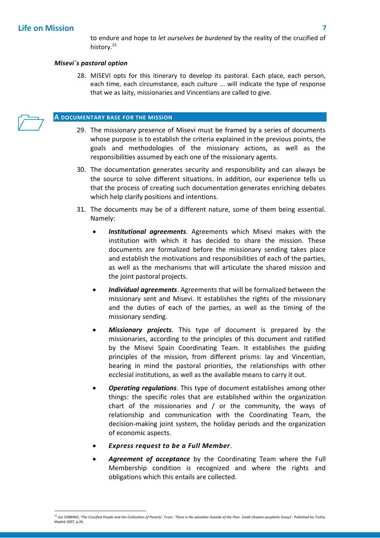to endure and hope to *let ourselves be burdened* by the reality of the crucified of history. 15

# *Misevi´s pastoral option*

28. MISEVI opts for this itinerary to develop its pastoral. Each place, each person, each time, each circumstance, each culture ... will indicate the type of response that we as laity, missionaries and Vincentians are called to give.

#### **A DOCUMENTARY BASE FOR THE MISSION**

- 29. The missionary presence of Misevi must be framed by a series of documents whose purpose is to establish the criteria explained in the previous points, the goals and methodologies of the missionary actions, as well as the responsibilities assumed by each one of the missionary agents.
- 30. The documentation generates security and responsibility and can always be the source to solve different situations. In addition, our experience tells us that the process of creating such documentation generates enriching debates which help clarify positions and intentions.
- 31. The documents may be of a different nature, some of them being essential. Namely:
	- *Institutional agreements*. Agreements which Misevi makes with the institution with which it has decided to share the mission. These documents are formalized before the missionary sending takes place and establish the motivations and responsibilities of each of the parties, as well as the mechanisms that will articulate the shared mission and the joint pastoral projects.
	- *Individual agreements*. Agreements that will be formalized between the missionary sent and Misevi. It establishes the rights of the missionary and the duties of each of the parties, as well as the timing of the missionary sending.
	- *Missionary projects*. This type of document is prepared by the missionaries, according to the principles of this document and ratified by the Misevi Spain Coordinating Team. It establishes the guiding principles of the mission, from different prisms: lay and Vincentian, bearing in mind the pastoral priorities, the relationships with other ecclesial institutions, as well as the available means to carry it out.
	- *Operating regulations*. This type of document establishes among other things: the specific roles that are established within the organization chart of the missionaries and / or the community, the ways of relationship and communication with the Coordinating Team, the decision-making joint system, the holiday periods and the organization of economic aspects.
	- *Express request to be a Full Member*.
	- *Agreement of acceptance* by the Coordinating Team where the Full Membership condition is recognized and where the rights and obligations which this entails are collected.

<sup>-</sup><sup>15</sup> Jon SOBRINO, '*The Crucified People and the Civilization of Poverty*'. From: '*There Is No salvation Outside of the Poor. Small Utopian-prophetic Essays'.* Published by Trotta, Madrid 2007, p.26. .